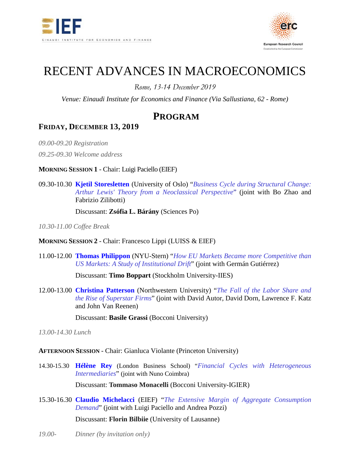



# RECENT ADVANCES IN MACROECONOMICS

*Rome, 13-14 December 2019*

*Venue: Einaudi Institute for Economics and Finance (Via Sallustiana, 62 - Rome)*

# **PROGRAM**

## **FRIDAY, DECEMBER 13, 2019**

*09.00-09.20 Registration*

*09.25-09.30 Welcome address*

**MORNING SESSION 1** - Chair: Luigi Paciello (EIEF)

09.30-10.30 **[Kjetil Storesletten](http://folk.uio.no/kjstore/)** (University of Oslo) "*[Business Cycle during Structural Change:](https://www.dropbox.com/s/lt2v4droiawb6qp/Storesletten.pdf?dl=0)  [Arthur Lewis' Theory from a Neoclassical Perspective](https://www.dropbox.com/s/lt2v4droiawb6qp/Storesletten.pdf?dl=0)*" (joint with Bo Zhao and Fabrizio Zilibotti)

Discussant: **Zsófia L. Bárány** (Sciences Po)

*10.30-11.00 Coffee Break*

#### **MORNING SESSION 2** - Chair: Francesco Lippi (LUISS & EIEF)

11.00-12.00 **[Thomas Philippon](http://pages.stern.nyu.edu/%7Etphilipp/)** (NYU-Stern) "*[How EU Markets Became more Competitive than](https://www.dropbox.com/s/j5w4iqmk2evlcy4/Philippon_Europe_v3.3.pdf?dl=0)  [US Markets: A Study of Institutional Drift](https://www.dropbox.com/s/j5w4iqmk2evlcy4/Philippon_Europe_v3.3.pdf?dl=0)*" (joint with Germán Gutiérrez)

Discussant: **Timo Boppart** (Stockholm University-IIES)

12.00-13.00 **[Christina Patterson](https://www.christinahydepatterson.com/)** (Northwestern University) "*[The Fall of the Labor](https://www.dropbox.com/s/lnfws1i2r518xv8/Patterson_ADKPV-Labshare-Superstars-May20-2019.pdf?dl=0) Share and [the Rise of Superstar Firms](https://www.dropbox.com/s/lnfws1i2r518xv8/Patterson_ADKPV-Labshare-Superstars-May20-2019.pdf?dl=0)*" (joint with David Autor, David Dorn, Lawrence F. Katz and John Van Reenen)

Discussant: **Basile Grassi** (Bocconi University)

*13.00-14.30 Lunch*

**AFTERNOON SESSION** - Chair: Gianluca Violante (Princeton University)

14.30-15.30 **[Hélène Rey](http://www.helenerey.eu/)** (London Business School) "*[Financial Cycles with Heterogeneous](http://www.helenerey.eu/Content/_Documents/Financial%20Cycles%20with%20Heterogeneous%20Intermediaries.pdf)  [Intermediaries](http://www.helenerey.eu/Content/_Documents/Financial%20Cycles%20with%20Heterogeneous%20Intermediaries.pdf)*" (joint with Nuno Coimbra)

Discussant: **Tommaso Monacelli** (Bocconi University-IGIER)

15.30-16.30 **[Claudio Michelacci](http://www.eief.it/eief/index.php/people/faculty-az?id=811)** (EIEF) "*[The Extensive Margin of Aggregate Consumption](https://www.dropbox.com/s/bfr9dpx0u0az46h/ConsumptionFlows_May20192.pdf?dl=0)  [Demand](https://www.dropbox.com/s/bfr9dpx0u0az46h/ConsumptionFlows_May20192.pdf?dl=0)*" (joint with Luigi Paciello and Andrea Pozzi)

Discussant: **Florin Bilbiie** (University of Lausanne)

*19.00- Dinner (by invitation only)*